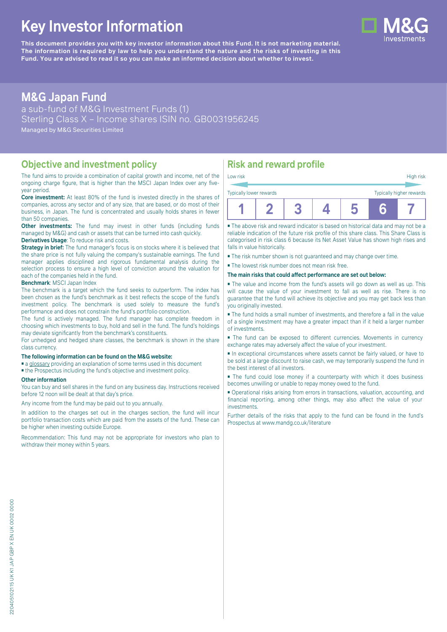# **Key Investor Information**

**This document provides you with key investor information about this Fund. It is not marketing material.** The information is required by law to help you understand the nature and the risks of investing in this **Fund. You are advised to read it so you can make an informed decision about whether to invest.**

# **M&G Japan Fund**

a sub-fund of M&G Investment Funds (1) Sterling Class X – Income shares ISIN no. GB0031956245 Managed by M&G Securities Limited

### **Objective and investment policy**

The fund aims to provide a combination of capital growth and income, net of the ongoing charge figure, that is higher than the MSCI Japan Index over any fiveyear period.

**Core investment:** At least 80% of the fund is invested directly in the shares of companies, across any sector and of any size, that are based, or do most of their business, in Japan. The fund is concentrated and usually holds shares in fewer than 50 companies.

**Other investments:** The fund may invest in other funds (including funds) managed by M&G) and cash or assets that can be turned into cash quickly.

#### **Derivatives Usage**: To reduce risk and costs.

**Strategy in brief:** The fund manager's focus is on stocks where it is believed that the share price is not fully valuing the company's sustainable earnings. The fund manager applies disciplined and rigorous fundamental analysis during the selection process to ensure a high level of conviction around the valuation for each of the companies held in the fund.

#### **Benchmark**: MSCI Japan Index

The benchmark is a target which the fund seeks to outperform. The index has been chosen as the fund's benchmark as it best reflects the scope of the fund's investment policy. The benchmark is used solely to measure the fund's performance and does not constrain the fund's portfolio construction.

The fund is actively managed. The fund manager has complete freedom in choosing which investments to buy, hold and sell in the fund. The fund's holdings may deviate significantly from the benchmark's constituents.

For unhedged and hedged share classes, the benchmark is shown in the share class currency.

#### **The following information can be found on the M&G website:**

■ [a glossary](https://docs.mandg.com/docs/glossary-master-en.pdf) providing an explanation of some terms used in this document

■ the Prospectus including the fund's objective and investment policy.

#### **Other information**

You can buy and sell shares in the fund on any business day. Instructions received before 12 noon will be dealt at that day's price.

Any income from the fund may be paid out to you annually.

In addition to the charges set out in the charges section, the fund will incur portfolio transaction costs which are paid from the assets of the fund. These can be higher when investing outside Europe.

Recommendation: This fund may not be appropriate for investors who plan to withdraw their money within 5 years.

# **Risk and reward profile**

| Typically lower rewards |  |  | Typically higher rewards |  |
|-------------------------|--|--|--------------------------|--|
| Low risk                |  |  | High risk                |  |

■ The above risk and reward indicator is based on historical data and may not be a reliable indication of the future risk profile of this share class. This Share Class is categorised in risk class 6 because its Net Asset Value has shown high rises and falls in value historically.

■ The risk number shown is not guaranteed and may change over time.

■ The lowest risk number does not mean risk free.

#### **The main risks that could affect performance are set out below:**

■ The value and income from the fund's assets will go down as well as up. This will cause the value of your investment to fall as well as rise. There is no guarantee that the fund will achieve its objective and you may get back less than you originally invested.

■ The fund holds a small number of investments, and therefore a fall in the value of a single investment may have a greater impact than if it held a larger number of investments.

■ The fund can be exposed to different currencies. Movements in currency exchange rates may adversely affect the value of your investment.

■ In exceptional circumstances where assets cannot be fairly valued, or have to be sold at a large discount to raise cash, we may temporarily suspend the fund in the best interest of all investors.

■ The fund could lose money if a counterparty with which it does business becomes unwilling or unable to repay money owed to the fund.

■ Operational risks arising from errors in transactions, valuation, accounting, and financial reporting, among other things, may also affect the value of your investments.

Further details of the risks that apply to the fund can be found in the fund's Prospectus at [www.mandg.co.uk/literature](http://www.mandg.co.uk/literature)